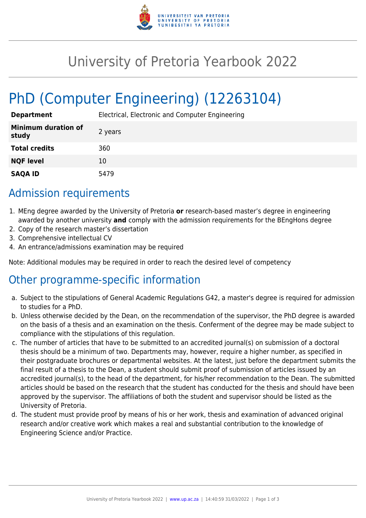

# University of Pretoria Yearbook 2022

# PhD (Computer Engineering) (12263104)

| <b>Department</b>                   | Electrical, Electronic and Computer Engineering |
|-------------------------------------|-------------------------------------------------|
| <b>Minimum duration of</b><br>study | 2 years                                         |
| <b>Total credits</b>                | 360                                             |
| <b>NQF level</b>                    | 10                                              |
| <b>SAQA ID</b>                      | 5479                                            |

## Admission requirements

- 1. MEng degree awarded by the University of Pretoria **or** research-based master's degree in engineering awarded by another university **and** comply with the admission requirements for the BEngHons degree
- 2. Copy of the research master's dissertation
- 3. Comprehensive intellectual CV
- 4. An entrance/admissions examination may be required

Note: Additional modules may be required in order to reach the desired level of competency

### Other programme-specific information

- a. Subject to the stipulations of General Academic Regulations G42, a master's degree is required for admission to studies for a PhD.
- b. Unless otherwise decided by the Dean, on the recommendation of the supervisor, the PhD degree is awarded on the basis of a thesis and an examination on the thesis. Conferment of the degree may be made subject to compliance with the stipulations of this regulation.
- c. The number of articles that have to be submitted to an accredited journal(s) on submission of a doctoral thesis should be a minimum of two. Departments may, however, require a higher number, as specified in their postgraduate brochures or departmental websites. At the latest, just before the department submits the final result of a thesis to the Dean, a student should submit proof of submission of articles issued by an accredited journal(s), to the head of the department, for his/her recommendation to the Dean. The submitted articles should be based on the research that the student has conducted for the thesis and should have been approved by the supervisor. The affiliations of both the student and supervisor should be listed as the University of Pretoria.
- d. The student must provide proof by means of his or her work, thesis and examination of advanced original research and/or creative work which makes a real and substantial contribution to the knowledge of Engineering Science and/or Practice.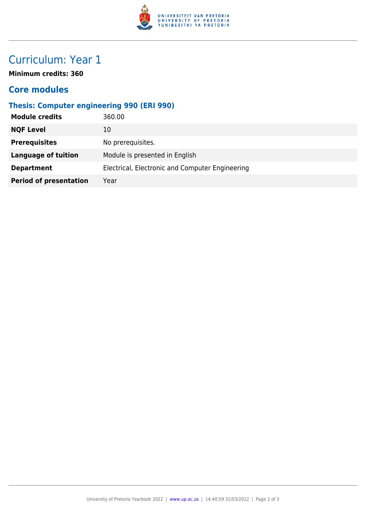

# Curriculum: Year 1

**Minimum credits: 360**

#### **Core modules**

#### **Thesis: Computer engineering 990 (ERI 990)**

| <b>NQF Level</b><br>10                                               |  |
|----------------------------------------------------------------------|--|
| <b>Prerequisites</b><br>No prerequisites.                            |  |
| Module is presented in English<br><b>Language of tuition</b>         |  |
| Electrical, Electronic and Computer Engineering<br><b>Department</b> |  |
| <b>Period of presentation</b><br>Year                                |  |